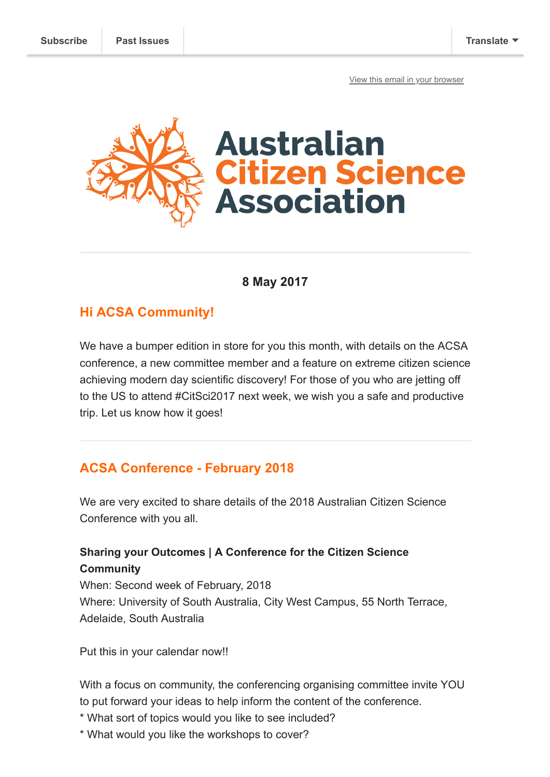[View this email in your browser](https://mailchi.mp/aaf3250c0a01/conference-committee-news-and-climbing-high?e=[UNIQID])



#### **8 May 2017**

## **Hi ACSA Community!**

We have a bumper edition in store for you this month, with details on the ACSA conference, a new committee member and a feature on extreme citizen science achieving modern day scientific discovery! For those of you who are jetting off to the US to attend #CitSci2017 next week, we wish you a safe and productive trip. Let us know how it goes!

# **ACSA Conference - February 2018**

We are very excited to share details of the 2018 Australian Citizen Science Conference with you all.

## **Sharing your Outcomes | A Conference for the Citizen Science Community**

When: Second week of February, 2018 Where: University of South Australia, City West Campus, 55 North Terrace, Adelaide, South Australia

Put this in your calendar now!!

With a focus on community, the conferencing organising committee invite YOU to put forward your ideas to help inform the content of the conference.

- \* What sort of topics would you like to see included?
- \* What would you like the workshops to cover?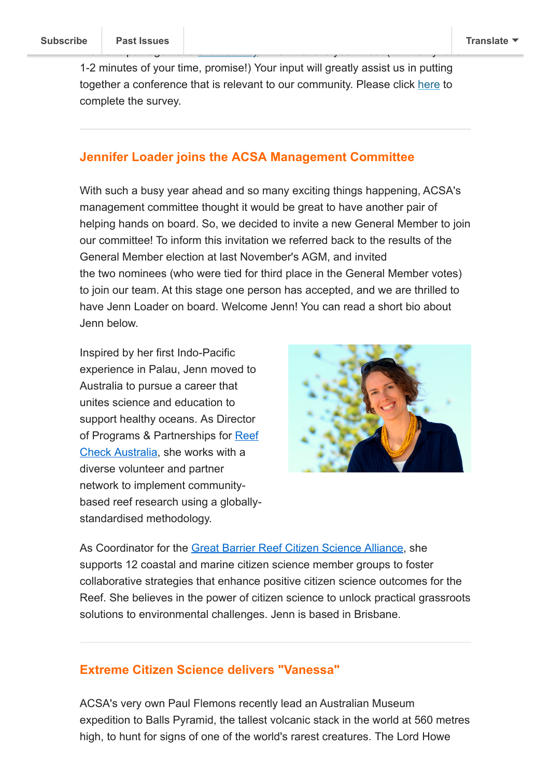1-2 minutes of your time, promise!) Your input will greatly assist us in putting together a conference that is relevant to our community. Please click [here](https://goo.gl/forms/QNFAiu5PDT9THnI23) to complete the survey.

We have put to get together a [short survey](https://goo.gl/forms/QNFAiu5PDT9THnI23) which we love  $y$  fill only take  $y$  fill only take  $y$ 

#### **Jennifer Loader joins the ACSA Management Committee**

With such a busy year ahead and so many exciting things happening, ACSA's management committee thought it would be great to have another pair of helping hands on board. So, we decided to invite a new General Member to join our committee! To inform this invitation we referred back to the results of the General Member election at last November's AGM, and invited the two nominees (who were tied for third place in the General Member votes) to join our team. At this stage one person has accepted, and we are thrilled to have Jenn Loader on board. Welcome Jenn! You can read a short bio about Jenn below.

Inspired by her first Indo-Pacific experience in Palau, Jenn moved to Australia to pursue a career that unites science and education to support healthy oceans. As Director [of Programs & Partnerships for Reef](https://apac01.safelinks.protection.outlook.com/?url=http%3A%2F%2Fwww.reefcheckaustralia.org%2F&data=02%7C01%7CAmy.Slocombe%40austmus.gov.au%7Cfba89eec058b4afca90208d492f3c91f%7C6ee75868f5d64c8cb4cda3ddce30cfd6%7C0%7C0%7C636295023144263870&sdata=SumRa1cYIhOfsZAhMJBOwfpQAW7lhvFFC85UNfJPaTY%3D&reserved=0) Check Australia, she works with a diverse volunteer and partner network to implement communitybased reef research using a globallystandardised methodology.



As Coordinator for the [Great Barrier Reef Citizen Science Alliance](https://apac01.safelinks.protection.outlook.com/?url=http%3A%2F%2Fwww.greatbarrierreefcitizenscience.org.au%2F&data=02%7C01%7CAmy.Slocombe%40austmus.gov.au%7Cfba89eec058b4afca90208d492f3c91f%7C6ee75868f5d64c8cb4cda3ddce30cfd6%7C0%7C0%7C636295023144263870&sdata=RS6EYIxeaynPcsv%2F%2FEUC6g1gfJmQuXiVUaclE4zl5wE%3D&reserved=0), she supports 12 coastal and marine citizen science member groups to foster collaborative strategies that enhance positive citizen science outcomes for the Reef. She believes in the power of citizen science to unlock practical grassroots solutions to environmental challenges. Jenn is based in Brisbane.

#### **Extreme Citizen Science delivers "Vanessa"**

ACSA's very own Paul Flemons recently lead an Australian Museum expedition to Balls Pyramid, the tallest volcanic stack in the world at 560 metres high, to hunt for signs of one of the world's rarest creatures. The Lord Howe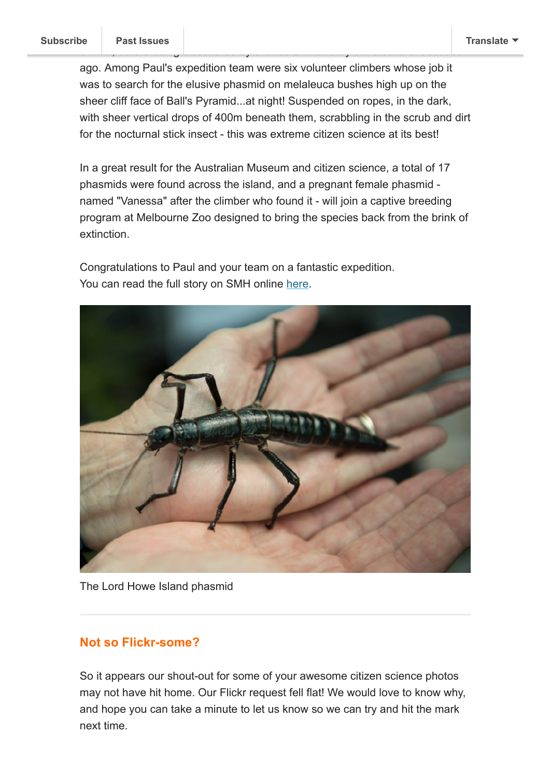ago. Among Paul's expedition team were six volunteer climbers whose job it was to search for the elusive phasmid on melaleuca bushes high up on the sheer cliff face of Ball's Pyramid...at night! Suspended on ropes, in the dark, with sheer vertical drops of 400m beneath them, scrabbling in the scrub and dirt for the nocturnal stick insect - this was extreme citizen science at its best!

extinct, before being discovered by chance on Ball's Pyramid several decades

In a great result for the Australian Museum and citizen science, a total of 17 phasmids were found across the island, and a pregnant female phasmid named "Vanessa" after the climber who found it - will join a captive breeding program at Melbourne Zoo designed to bring the species back from the brink of extinction.

Congratulations to Paul and your team on a fantastic expedition. You can read the full story on SMH online [here](http://www.smh.com.au/interactive/2017/Riddle-in-the-Pacific/).



The Lord Howe Island phasmid

### **Not so Flickr-some?**

So it appears our shout-out for some of your awesome citizen science photos may not have hit home. Our Flickr request fell flat! We would love to know why, and hope you can take a minute to let us know so we can try and hit the mark next time.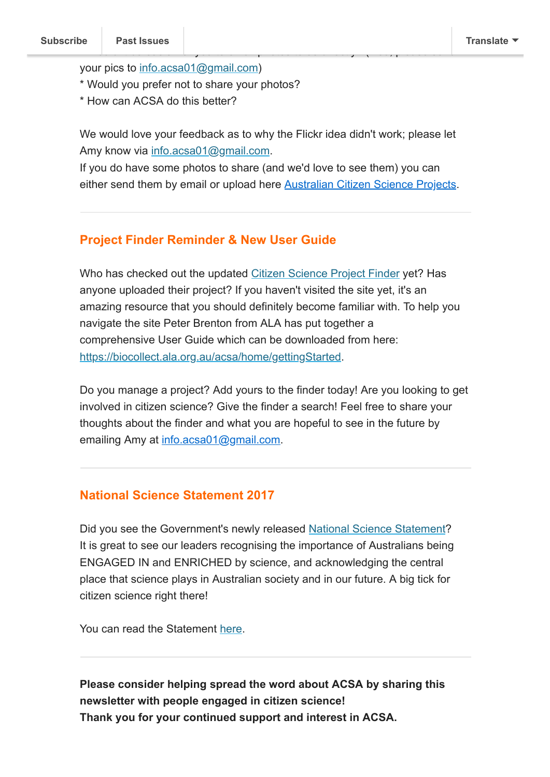your pics to [info.acsa01@gmail.com\)](mailto:info.acsa01@gmail.com)

- \* Would you prefer not to share your photos?
- \* How can ACSA do this better?

We would love your feedback as to why the Flickr idea didn't work; please let Amy know via [info.acsa01@gmail.com](mailto:info.acsa01@gmail.com).

If you do have some photos to share (and we'd love to see them) you can either send them by email or upload here **[Australian Citizen Science Projects](https://www.flickr.com/groups/citscioz/)**.

### **Project Finder Reminder & New User Guide**

Who has checked out the updated [Citizen Science Project Finder](http://biocollect.ala.org.au/acsa) yet? Has anyone uploaded their project? If you haven't visited the site yet, it's an amazing resource that you should definitely become familiar with. To help you navigate the site Peter Brenton from ALA has put together a comprehensive User Guide which can be downloaded from here: [https://biocollect.ala.org.au/acsa/home/gettingStarted.](https://biocollect.ala.org.au/acsa/home/gettingStarted)

Do you manage a project? Add yours to the finder today! Are you looking to get involved in citizen science? Give the finder a search! Feel free to share your thoughts about the finder and what you are hopeful to see in the future by emailing Amy at [info.acsa01@gmail.com.](mailto:info.acsa01@gmail.com)

#### **National Science Statement 2017**

Did you see the Government's newly released [National Science Statement](http://www.science.gov.au/scienceGov/NationalScienceStatement/index.html)? It is great to see our leaders recognising the importance of Australians being ENGAGED IN and ENRICHED by science, and acknowledging the central place that science plays in Australian society and in our future. A big tick for citizen science right there!

You can read the Statement [here](http://www.science.gov.au/SCIENCEGOV/NationalScienceStatement/index.html).

**Please consider helping spread the word about ACSA by sharing this newsletter with people engaged in citizen science! Thank you for your continued support and interest in ACSA.**